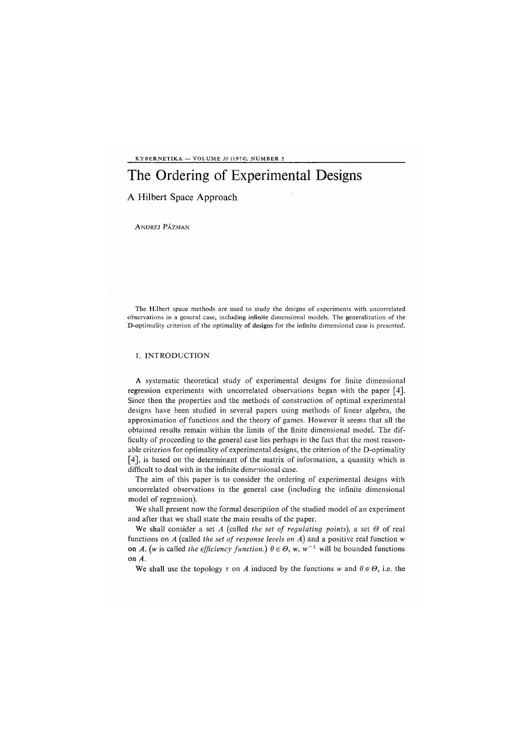KYBERNETIKA — VOLUME *10* (1974), NUMBER 5

# The Ordering of Experimental Designs

## A Hilbert Space Approach  $\mathbf{A}$  H

ANDREJ PÁZMAN

The Hilbert space methods are used to study the designs of experiments with uncorrelated observations in a general case, including infinite dimensional models. The generalization of the D-optimality criterion of the optimality of designs for the infinite dimensional case is presented.

## 1. INTRODUCTION

A systematic theoretical study of experimental designs for finite dimensional regression experiments with uncorrelated observations began with the paper [4]. Since then the properties and the methods of construction of optimal experimental designs have been studied in several papers using methods of linear algebra, the approximation of functions and the theory of games. However it seems that all the obtained results remain within the limits of the finite dimensional model. The difficulty of proceeding to the general case lies perhaps in the fact that the most reasonable criterion for optimality of experimental designs, the criterion of the D-optimality [4], is based on the determinant of the matrix of information, a quantity which is difficult to deal with in the infinite dimensional case.

The aim of this paper is to consider the ordering of experimental designs with uncorrelated observations in the general case *(*including the infinite dimensional model of regression).

We shall present now the formal description of the studied model of an experiment and after that we shall state the main results of the paper.

We shall consider a set *A (*called *the set of regulating points),* a set *0* of real functions on *A (*called *the set of response levels on A)* and a positive real function *w*  on A. (w is called the efficiency function.)  $\theta \in \Theta$ , w, w<sup>-1</sup> will be bounded functions on *A.* 

We shall use the topology  $\tau$  on *A* induced by the functions *w* and  $\theta \in \Theta$ , i.e. the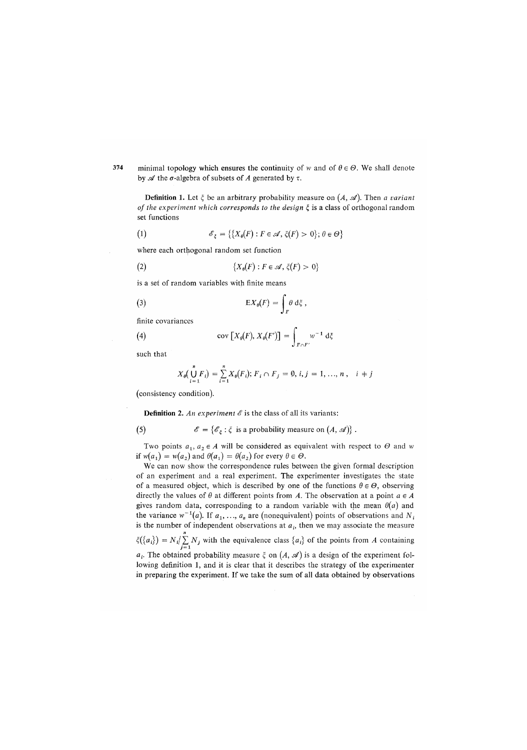374 minimal topology which ensures the continuity of w and of  $\theta \in \Theta$ . We shall denote by  $\mathscr A$  the  $\sigma$ -algebra of subsets of A generated by  $\tau$ .

**Definition** 1. Let  $\xi$  be an arbitrary probability measure on  $(A, \mathcal{A})$ . Then *a variant of the experiment which corresponds to the design* £ is a class of orthogonal random set functions

(1) 
$$
\mathscr{E}_{\xi} = \{ \{ X_{\theta}(F) : F \in \mathscr{A}, \xi(F) > 0 \}; \theta \in \Theta \}
$$

where each orthogonal random set function

(2) 
$$
\{X_{\theta}(F): F \in \mathscr{A}, \xi(F) > 0\}
$$

is a set of random variables with finite means

(3) 
$$
\mathbb{E}X_{\theta}(F) = \int_{F} \theta \, d\xi,
$$

finite covariances

(4) 
$$
\operatorname{cov}[X_{\theta}(F), X_{\theta}(F')] = \int_{F \cap F'} w^{-1} d\xi
$$

such that

$$
X_{\theta}(\bigcup_{i=1}^{n} F_{i}) = \sum_{i=1}^{n} X_{\theta}(F_{i}); F_{i} \cap F_{j} = \emptyset, i, j = 1, ..., n, i \neq j
$$

*(*consistency condition).

**Definition 2.** An experiment  $\mathscr E$  is the class of all its variants:

(5) 
$$
\mathscr{E} = \{ \mathscr{E}_{\xi} : \xi \text{ is a probability measure on } (A, \mathscr{A}) \}.
$$

Two points  $a_1, a_2 \in A$  will be considered as equivalent with respect to  $\Theta$  and w if  $w(a_1) = w(a_2)$  and  $\theta(a_1) = \theta(a_2)$  for every  $\theta \in \Theta$ .

We can now show the correspondence rules between the given formal description of an experiment and a real experiment. The experimenter investigates the state of a measured object, which is described by one of the functions  $\theta \in \Theta$ , observing directly the values of  $\theta$  at different points from A. The observation at a point  $a \in A$ gives random data, corresponding to a random variable with the mean  $\theta(a)$  and the variance  $w^{-1}(a)$ . If  $a_1, ..., a_n$  are (nonequivalent) points of observations and  $N_i$ is the number of independent observations at  $a_i$ , then we may associate the measure  $\zeta({a_i}) = N_i / \sum N_j$  with the equivalence class  ${a_i}$  of the points from *A* containing  $a_i$ . The obtained probability measure  $\xi$  on  $(A, \mathcal{A})$  is a design of the experiment following definition 1, and it is clear that it describes the strategy of the experimenter in preparing the experiment. If we take the sum of all data obtained by observations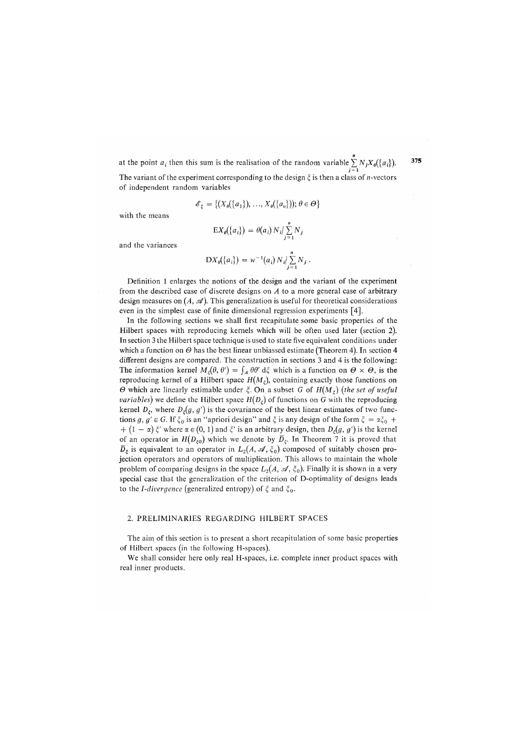at the point  $a_i$  then this sum is the realisation of the random variable  $\sum_{i=1}^{n} N_j X_{\theta}(\{a_i\})$ . *j = i*  The variant of the experiment corresponding to the design *£,* is then a class of n-vectors

of independent random variables

$$
\mathscr{E}_{\xi} = \{ (X_{\theta}(\{a_1\}), ..., X_{\theta}(\{a_n\})); \theta \in \Theta \}
$$

with the means

$$
\mathrm{E}X_{\theta}(\lbrace a_i \rbrace) = \theta(a_i) N_i / \sum_{j=1}^n N_j
$$

and the variances

$$
\mathrm{D} X_{\theta}(\{a_i\}) = w^{-1}(a_i) N_i / \sum_{j=1}^n N_j.
$$

Definition 1 enlarges the notions of the design and the variant of the experiment from the described case of discrete designs on *A* to a more general case of arbitrary design measures on  $(A, \mathcal{A})$ . This generalization is useful for theoretical considerations even in the simplest case of finite dimensional regression experiments [4].

In the following sections we shall first recapitulate some basic properties of the Hilbert spaces with reproducing kernels which will be often used later *(*section 2). In section 3 the Hilbert space technique is used to state five equivalent conditions under which a function on *0* has the best linear unbiassed estimate *(*Theorem 4). In section 4 different designs are compared. The construction in sections 3 and 4 is the following: The information kernel  $M_z(\theta, \theta') = \int_A \theta \theta' d\xi$  which is a function on  $\theta \times \theta$ , is the reproducing kernel of a Hilbert space  $H(M_z)$ , containing exactly those functions on  $\Theta$  which are linearly estimable under  $\xi$ . On a subset *G* of  $H(M_{\xi})$  (the set of useful *variables*) we define the Hilbert space  $H(D_\varepsilon)$  of functions on G with the reproducing kernel  $D_{\varepsilon}$ , where  $D_{\varepsilon}(g, g')$  is the covariance of the best linear estimates of two functions  $g, g' \in G$ . If  $\xi_0$  is an "apriori design" and  $\xi$  is any design of the form  $\xi = \alpha \xi_0 +$  $+ (1 - \alpha) \xi'$  where  $\alpha \in (0, 1)$  and  $\xi'$  is an arbitrary design, then  $D_{\xi}(g, g')$  is the kernel of an operator in  $H(D_{\varepsilon0})$  which we denote by  $\overline{D}_{\varepsilon}$ . In Theorem 7 it is proved that  $\overline{D}_{\xi}$  is equivalent to an operator in  $L_2(A, \mathcal{A}, \xi_0)$  composed of suitably chosen projection operators and operators of multiplication. This allows to maintain the whole problem of comparing designs in the space  $L_2(A, \mathcal{A}, \xi_0)$ . Finally it is shown in a very special case that the generalization of the criterion of D-optimality of designs leads to the *I-divergence* (generalized entropy) of  $ξ$  and  $ξ$ <sub>0</sub>*.* 

### 2. PRELIMINARIES REGARDING HILBERT SPACES

The aim of this section is to present a short recapitulation of some basic properties of Hilbert spaces *(*in the following H-spaces).

We shall consider here only real H-spaces, i.e. complete inner product spaces with real inner products.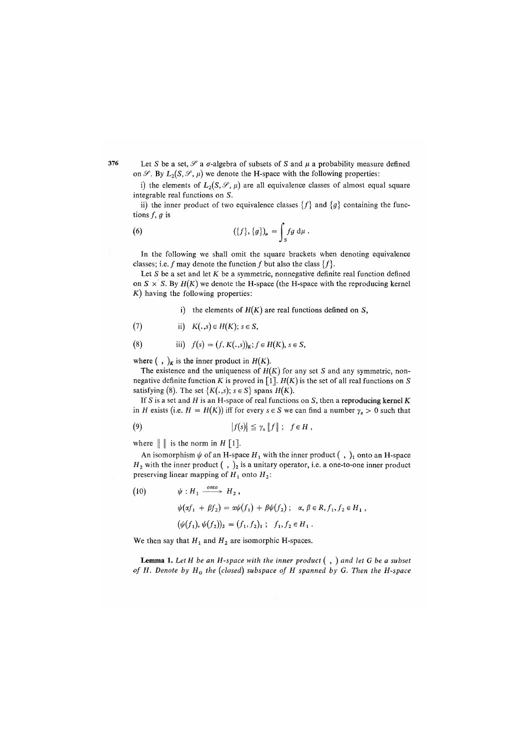Let *S* be a set,  $\mathscr S$  a  $\sigma$ -algebra of subsets of *S* and  $\mu$  a probability measure defined on  $\mathscr{S}$ . By  $L_2(S, \mathscr{S}, \mu)$  we denote the H-space with the following properties:

i) the elements of  $L_2(S, \mathscr{S}, \mu)$  are all equivalence classes of almost equal square integrable real functions on *S*.

ii) the inner product of two equivalence classes  ${f}$  and  ${g}$  containing the functions *f, g* is

(6) 
$$
(\{f\}, \{g\})_{\mu} = \int_{S} fg \, d\mu.
$$

In the following we shall omit the square brackets when denoting equivalence classes; i.e. f may denote the function f but also the class  $\{f\}$ .

Let *S* be a set and let *K* be a symmetric, nonnegative definite real function defined on  $S \times S$ . By  $H(K)$  we denote the H-space (the H-space with the reproducing kernel *K)* having the following properties:

i) the elements of *H(K)* are real functions defined on *S*,

(7) ii) 
$$
K(.,s) \in H(K); s \in S
$$
,

(8) iii) 
$$
f(s) = (f, K(., s))_K; f \in H(K), s \in S,
$$

where  $( , )_K$  is the inner product in  $H(K)$ .

The existence and the uniqueness of  $H(K)$  for any set *S* and any symmetric, nonnegative definite function *K* is proved in [1].  $H(K)$  is the set of all real functions on *S* satisfying (8). The set  $\{K(.,s); s \in S\}$  spans  $H(K)$ .

If *S* is a set and *H* is an H-space of real functions on *S*, then a reproducing kernel *K*  in *H* exists (i.e.  $H = H(K)$ ) iff for every  $s \in S$  we can find a number  $\gamma_s > 0$  such that

(9) 
$$
|f(s)| \leq \gamma_s \|f\|; \quad f \in H,
$$

where  $\|\cdot\|$  is the norm in *H* [1].

An isomorphism  $\psi$  of an H-space  $H_1$  with the inner product  $( , )_1$  onto an H-space  $H_2$  with the inner product  $( , )_2$  is a unitary operator, i.e. a one-to-one inner product preserving linear mapping of *H1* onto *H2:* 

(10) 
$$
\psi : H_1 \xrightarrow{\text{onto}} H_2 ,
$$

$$
\psi(\alpha f_1 + \beta f_2) = \alpha \psi(f_1) + \beta \psi(f_2) ; \alpha, \beta \in R, f_1, f_2 \in H_1 ,
$$

$$
(\psi(f_1), \psi(f_2))_2 = (f_1, f_2)_1 ; f_1, f_2 \in H_1 .
$$

We then say that  $H_1$  and  $H_2$  are isomorphic H-spaces.

L**emma 1.** *Let H be an H-space with the inner product ( , ) and let G be a subset of H. Denote by HG the (closed) subspace of H spanned by G. Then the H-space*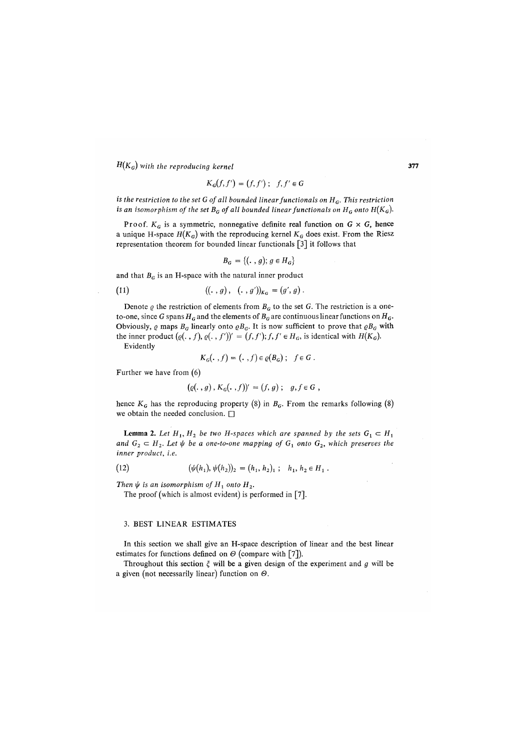*H(KG) with the reproducing kernel* 

$$
K_G(f, f') = (f, f') ; f, f' \in G
$$

*is the restriction to the set G of all bounded linear functionals on HG. This restriction is an isomorphism of the set*  $B_G$  *of all bounded linear functionals on*  $H_G$  *onto*  $H(K_G)$ *.* 

Proof.  $K_G$  is a symmetric, nonnegative definite real function on  $G \times G$ , hence a unique H-space  $H(K_G)$  with the reproducing kernel  $K_G$  does exist. From the Riesz representation theorem for bounded linear functionals [3] it follows that

$$
B_G = \{ (\cdot \,,\, g); \, g \in H_G \}
$$

and that  $B_G$  is an H-space with the natural inner product

(11) 
$$
((., g), (., g'))_{K_G} = (g', g).
$$

Denote  $\varrho$  the restriction of elements from  $B_G$  to the set G. The restriction is a oneto-one, since G spans  $H_G$  and the elements of  $B_G$  are continuous linear functions on  $H_G$ . Obviously,  $\varrho$  maps  $B_G$  linearly onto  $\varrho B_G$ . It is now sufficient to prove that  $\varrho B_G$  with the inner product  $(\varrho(\cdot, f), \varrho(\cdot, f'))' = (f, f'); f, f' \in H_G$ , is identical with  $H(K_G)$ . Evidently

$$
K_G(\ldots, f) = (\ldots, f) \in \varrho(B_G) \; ; \quad f \in G \; .
$$

Further we have from (6)

$$
(\varrho(\, , g) \, , K_G(\, , f))' = (f, g) \, ; \quad g, f \in G \, ,
$$

hence  $K_G$  has the reproducing property (8) in  $B_G$ . From the remarks following (8) we obtain the needed conclusion.  $\square$ 

**Lemma 2.** Let  $H_1, H_2$  be two H-spaces which are spanned by the sets  $G_1 \subset H_1$ *and*  $G_2 \subset H_2$ . Let  $\psi$  be a one-to-one mapping of  $G_1$  onto  $G_2$ , which preserves the *inner product, i.e.* 

(12) 
$$
(\psi(h_1), \psi(h_2))_2 = (h_1, h_2)_1; h_1, h_2 \in H_1.
$$

*Then*  $\psi$  *is an isomorphism of*  $H_1$  *onto*  $H_2$ *.* 

The proof (which is almost evident) is performed in [7].

#### 3. BEST LINEAR ESTIMATES

In this section we shall give an H-space description of linear and the best linear estimates for functions defined on  $\Theta$  (compare with [7]).

Throughout this section  $\xi$  will be a given design of the experiment and  $g$  will be a given (not necessarily linear) function on *0.*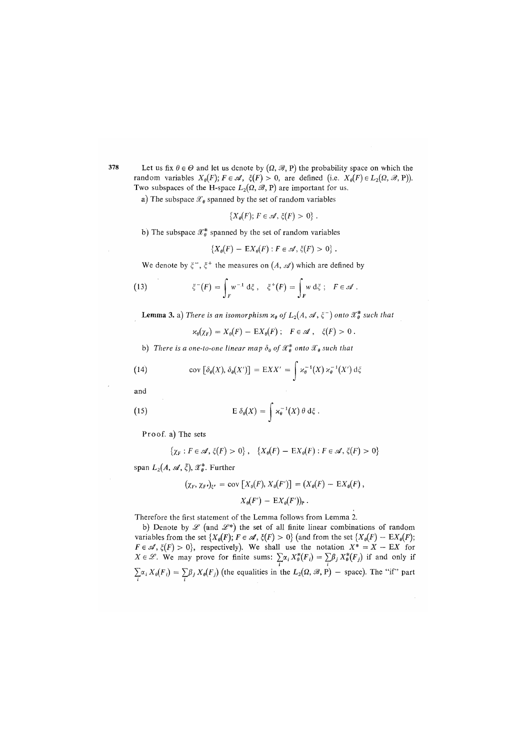378 Let us fix  $\theta \in \Theta$  and let us denote by  $(\Omega, \mathcal{B}, P)$  the probability space on which the random variables  $X_{\theta}(F)$ ;  $F \in \mathcal{A}$ ,  $\xi(F) > 0$ , are defined (i.e.  $X_{\theta}(F) \in L_2(\Omega, \mathcal{B}, P)$ ). Two subspaces of the H-space  $L_2(\Omega, \mathcal{B}, P)$  are important for us.

a) The subspace  $\mathscr{X}_{\theta}$  spanned by the set of random variables

$$
\{X_{\theta}(F); F \in \mathcal{A}, \xi(F) > 0\}
$$

b) The subspace  $\mathcal{X}_{\theta}^{*}$  spanned by the set of random variables

$$
\{X_{\theta}(F) - \mathbb{E}X_{\theta}(F) : F \in \mathscr{A}, \xi(F) > 0\}.
$$

we denote by  $\zeta_2$ ,  $\zeta_1$  the measures on  $(A, \mathscr{A})$  which are defined by

(13) 
$$
\xi^{-}(F) = \int_{F} w^{-1} d\xi, \quad \xi^{+}(F) = \int_{F} w d\xi, \quad F \in \mathcal{A}.
$$

**Lemma 3.** a) There is an isomorphism  $x_{\theta}$  of  $L_2(A, \mathcal{A}, \xi^{-})$  onto  $\mathcal{X}_{\theta}^{*}$  such that

 $x_0(\chi_F) = X_0(F) - EX_0(F); \quad F \in \mathcal{A}, \quad \xi(F) > 0.$ 

b) There is a one-to-one linear map  $\delta_{\theta}$  of  $\mathscr{X}_{\theta}^{*}$  onto  $\mathscr{X}_{\theta}$  such that

(14) 
$$
cov [\delta_{\theta}(X), \delta_{\theta}(X')] = EXX' = \int \varkappa_{\theta}^{-1}(X) \varkappa_{\theta}^{-1}(X') d\xi
$$

and

(15) 
$$
E \delta_{\theta}(X) = \int \varkappa_{\theta}^{-1}(X) \theta d\xi.
$$

Proof, a) The sets

$$
\{\chi_F : F \in \mathscr{A}, \xi(F) > 0\}, \quad \{X_\theta(F) - \mathbb{E}X_\theta(F) : F \in \mathscr{A}, \xi(F) > 0\}
$$

span  $L_2(A, \mathcal{A}, \xi)$ ,  $\mathcal{X}_a^*$ . Further

$$
(\chi_F, \chi_F)_{\xi'} = \text{cov}\left[X_0(F), X_0(F')\right] = (X_0(F) - \text{E}X_0(F)),
$$
  

$$
X_0(F') - \text{E}X_0(F')\big|_{P}.
$$

Therefore the first statement of the Lemma follows from Lemma 2.

b) Denote by  $\mathscr L$  (and  $\mathscr L^*$ ) the set of all finite linear combinations of random variables from the set  $\{X_{\theta}(F); F \in \mathcal{A}, \xi(F) > 0\}$  (and from the set  $\{X_{\theta}(F) - \mathbb{E}X_{\theta}(F);$  $F \in \mathcal{A}, \xi(F) > 0$ , respectively). We shall use the notation  $X^* = X - EX$  for  $X \in \mathscr{L}$ . We may prove for finite sums:  $\sum_{i} \alpha_i X^*_{\theta}(F_i) = \sum_{i} \beta_i X^*_{\theta}(F_i)$  if and only if  $\sum \alpha_i X_{\theta}(F_i) = \sum \beta_j X_{\theta}(F_j)$  (the equalities in the  $L_2(\Omega, \mathcal{B}, P)$  – space). The "if" part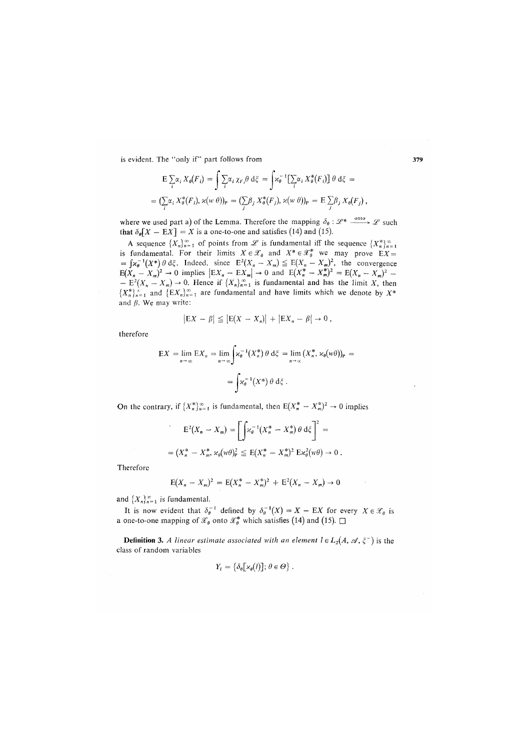is evident. The "only if" part follows from

$$
\begin{aligned} \mathbb{E} \sum_{i} \alpha_{i} X_{\theta}(F_{i}) &= \int \sum_{i} \alpha_{i} \chi_{F_{i}} \theta \, \mathrm{d} \xi = \int \varkappa_{\theta}^{-1} \left[ \sum_{i} \alpha_{i} X_{\theta}^{*}(F_{i}) \right] \theta \, \mathrm{d} \xi = \\ &= \left( \sum_{i} \alpha_{i} X_{\theta}^{*}(F_{i}), \varkappa(w \, \theta) \right)_{\mathbb{P}} = \left( \sum_{j} \beta_{j} X_{\theta}^{*}(F_{j}), \varkappa(w \, \theta) \right)_{\mathbb{P}} = \mathbb{E} \sum_{j} \beta_{j} X_{\theta}(F_{j}), \end{aligned}
$$

where we used part a) of the Lemma. Therefore the mapping  $\delta_{\theta}$ :  $\mathscr{L}^*$   $\xrightarrow[]{{}_{\!\!\text{onto\,\,}\!\!}} \mathscr{L}$  such that  $\delta_{\theta}[X - \mathbb{E}X] = X$  is a one-to-one and satisfies (14) and (15).

A sequence  ${X_n}_{n=1}^{\infty}$  of points from  $\mathscr L$  is fundamental iff the sequence  ${X_n^*}_{n=1}^{\infty}$ is fundamental. For their limits  $X \in \mathcal{X}_{\theta}$  and  $X^* \in \mathcal{X}_{\theta}^*$  we may prove  $EX =$  $=\int \chi_{\theta}^{-1}(X^*)\theta \,d\zeta$ . Indeed, since  $E^2(X_n - X_m) \leq E(X_n - X_m)^2$ , the convergence  $E(X_n - X_m)^2 \to 0$  implies  $|EX_n - EX_m| \to 0$  and  $E(X_n^* - X_m^*)^2 = E(X_n - X_m)^2 - E(X_n - X_m) \to 0$ . Hence if  $\{X_n\}_{n=1}^{\infty}$  is fundamental and has the limit X, then  ${X_n^*}^*_{n=1}$  and  ${E X_n}^*_{n=1}^{\infty}$  are fundamental and have limits which we denote by  $X^*$ and *p.* We may write:

$$
|\mathsf{E} X - \beta| \leq |\mathsf{E}(X - X_n)| + |\mathsf{E} X_n - \beta| \to 0,
$$

therefore

$$
EX = \lim_{n \to \infty} EX_n = \lim_{n \to \infty} \left[ \varkappa_{\theta}^{-1}(X_n^*) \theta \, d\xi = \lim_{n \to \infty} (X_n^*, \varkappa_{\theta}(w\theta))_P \right] = \int \varkappa_{\theta}^{-1}(X^*) \theta \, d\xi.
$$

On the contrary, if  $\{X_n^*\}_{n=1}^\infty$  is fundamental, then  $E(X_n^* - X_m^*)^2 \to 0$  implies

$$
E^{2}(X_{n} - X_{m}) = \left[\int \varkappa_{\theta}^{-1}(X_{n}^{*} - X_{m}^{*}) \theta d\xi\right]^{2} =
$$
  
=  $(X_{n}^{*} - X_{m}^{*}, \varkappa_{\theta}(\psi \theta)_{P}^{2} \leq E(X_{n}^{*} - X_{m}^{*})^{2} E \varkappa_{\theta}^{2}(\psi \theta) \to 0.$ 

Therefore

$$
E(X_n - X_m)^2 = E(X_n^* - X_m^*)^2 + E^2(X_n - X_m) \to 0
$$

and  $\{X_n\}_{n=1}^{\infty}$  is fundamental.

It is now evident that  $\delta_{\theta}^{-1}$  defined by  $\delta_{\theta}^{-1}(X) = X - EX$  for every  $X \in \mathcal{X}_{\theta}$  is a one-to-one mapping of  $\mathscr{X}_{\theta}$  onto  $\mathscr{X}_{\theta}^{*}$  which satisfies (14) and (15).  $\square$ 

**Definition 3.** A linear estimate associated with an element  $l \in L_2(A, \mathcal{A}, \xi^-)$  is the class of random variables

$$
Y_l = \{\delta_\theta[\varkappa_\theta(l)]; \theta \in \Theta\}.
$$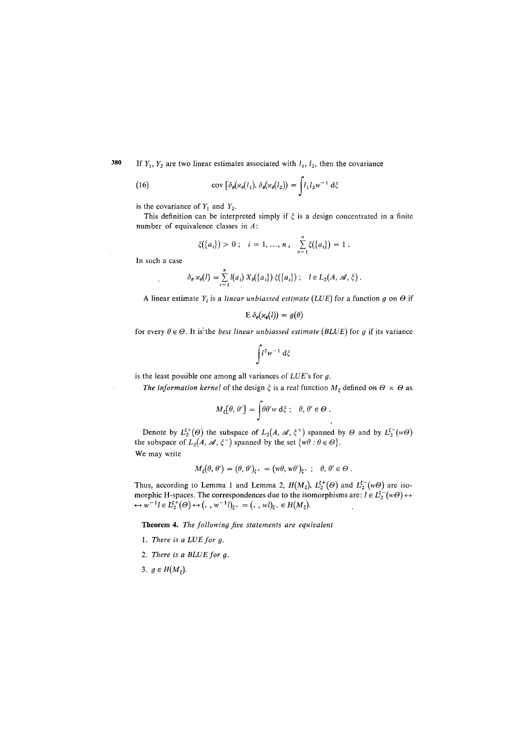380 If  $Y_1, Y_2$  are two linear estimates associated with  $l_1, l_2$ , then the covariance

(16) 
$$
\operatorname{cov} \left[ \delta_{\theta}(\varkappa_{\theta}(l_1), \delta_{\theta}(\varkappa_{\theta}(l_2)) \right] = \int l_1 l_2 w^{-1} d\xi
$$

is the covariance of *Y*. and *Y*2.

This definition can be interpreted simply if  $\xi$  is a design concentrated in a finite number of equivalence classes in *A*:

$$
\xi({a_i}) > 0
$$
;  $i = 1, ..., n$ ,  $\sum_{n=1}^{n} \xi({a_i}) = 1$ .

In such a case

$$
\delta_{\theta} \times_{\theta}(l) = \sum_{i=1}^n l(a_i) X_{\theta}(\{a_i\}) \xi(\{a_i\}) ; \quad l \in L_2(A, \mathcal{A}, \xi).
$$

A linear estimate  $Y_l$  is a *linear unbiassed estimate* (LUE) for a function g on  $\Theta$  if

$$
E \, \delta_{\theta}(\varkappa_{\theta}(l)) = g(\theta)
$$

for every  $\theta \in \Theta$ . It is the *best linear unbiassed estimate* (*BLUE*) for g if its variance

$$
\int l^2w^{-1}\;{\rm d}\xi
$$

is the least possible one among all variances of L*UE*'s for *g.* 

*The information kernel* of the design  $\xi$  is a real function  $M_{\xi}$  defined on  $\Theta \times \Theta$  as

$$
M_{\xi}[\theta,\theta'] = \int \theta \theta' w \, d\xi \; ; \quad \theta,\theta' \in \Theta \; .
$$

Denote by  $L_2^{\xi^+}(\Theta)$  the subspace of  $L_2(A, \mathcal{A}, \xi^+)$  spanned by  $\Theta$  and by  $L_2^{\xi^-}(w\Theta)$ the subspace of  $L_2(A, \mathcal{A}, \xi^-)$  spanned by the set  $\{w\theta : \theta \in \Theta\}$ . We may write

$$
M_{\xi}(\theta, \theta') = (\theta, \theta')_{\xi^+} = (w\theta, w\theta')_{\xi^-}; \quad \theta, \theta' \in \Theta.
$$

Thus, according to Lemma 1 and Lemma 2,  $H(M_{\xi})$ ,  $L_2^{\xi+}(\Theta)$  and  $L_2^{\xi-}(w\Theta)$  are isomorphic H-spaces. The correspondences due to the isomorphisms are:  $l \in L_2^{\circ}(\omega) \leftrightarrow$ <br>  $\leftrightarrow w^{-1}l \in L_2^{\circ}(\omega) \leftrightarrow (\cdot, w^{-1}l)_{\xi^+} = (\cdot, w)_{\xi^-} \in H(M_{\xi})$ .

Theorem 4. *The following five statements are equivalent* 

- 1. There is a LUE for g.
- 2. There is a BLUE for g.

3.  $g \in H(M_{\xi}).$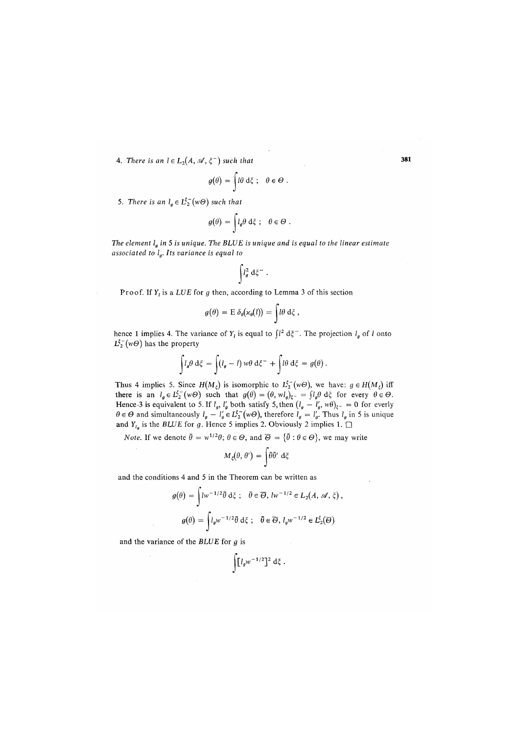4. There is an  $l \in L_2(A, \mathcal{A}, \xi^-)$  such that 381

$$
g(\theta) = \int d\theta \, d\xi \; ; \quad \theta \in \Theta \; .
$$

5. There is an  $l_g \in L_2^{\xi^-}(w\Theta)$  such that

$$
g(\theta) = \int l_g \theta \, d\xi \; ; \quad \theta \in \Theta \; .
$$

*The element lg in* 5 *is unique. The BLUE is unique and is equal to the linear estimate associated to lg. Its variance is equal to* 

$$
\int\!\! l_g^2\;{\rm d}\xi^-\;.
$$

Proof. If *Y*, is a *LUE* for *g* then, according to Lemma 3 of this section

$$
g(\theta) = \mathrm{E} \, \delta_{\theta}(\kappa_{\theta}(l)) = \int l \theta \, \mathrm{d}\xi \, ,
$$

hence 1 implies 4. The variance of  $Y_l$  is equal to  $\int l^2 d\xi$ . The projection  $l_g$  of *l* onto  $L_2^{\xi^-}(w\Theta)$  has the property

$$
\int l_g \theta \, d\xi = \int (l_g - l) \, w \theta \, d\xi^- + \int l \theta \, d\xi = g(\theta).
$$

Thus 4 implies 5. Since  $H(M_z)$  is isomorphic to  $L_2^{\xi^-}(w\Theta)$ , we have:  $g \in H(M_z)$  iff there is an  $l_g \in L_2^{\infty}(w\Theta)$  such that  $g(\theta) = (\theta, w l_g)_{\xi^{-}} = \int l_g \theta \, d\xi$  for every  $\theta \in \Theta$ .<br>Hence 3 is equivalent to 5. If  $l_g$ ,  $l'_g$  both satisfy 5, then  $(l_g - l'_g, w\theta)_{\xi^{-}} = 0$  for everly  $\theta \in \Theta$  and simultaneously  $l_g - l'_g \in L_2^{\xi^-}(w\Theta)$ , therefore  $l_g = l'_g$ . Thus  $l_g$  in 5 is unique and  $Y_{l_q}$  is the *BLUE* for g. Hence 5 implies 2. Obviously 2 implies 1.  $\Box$ 

*Note.* If we denote  $\bar{\theta} = w^{1/2}\theta$ ;  $\theta \in \Theta$ , and  $\bar{\Theta} = {\bar{\theta} : \theta \in \Theta}$ , we may write

$$
M_{\xi}(\theta, \theta') = \int \theta \overline{\theta'} \, \mathrm{d}\xi
$$

and the conditions 4 and 5 in the Theorem can be written as

$$
g(\theta) = \int l w^{-1/2} \tilde{\theta} d\xi \; ; \quad \bar{\theta} \in \overline{\Theta}, \, l w^{-1/2} \in L_2(A, \, \mathcal{A}, \, \xi) \, ,
$$

$$
g(\theta) = \int l_g w^{-1/2} \tilde{\theta} d\xi \; ; \quad \bar{\theta} \in \overline{\Theta}, \, l_g w^{-1/2} \in L_2^{\xi}(\overline{\Theta})
$$

and the variance of the *BLUE* for *a* is

$$
\int [I_g w^{-1/2}]^2 d\xi.
$$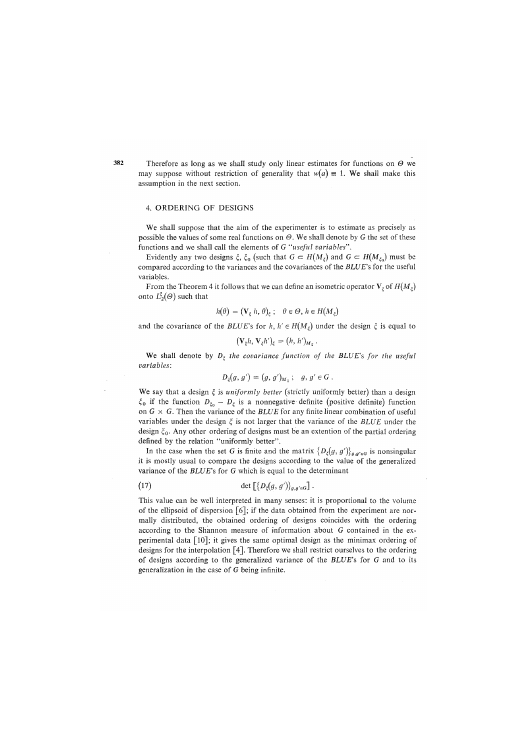Therefore as long as we shall study only linear estimates for functions on *0* we may suppose without restriction of generality that  $w(a) \equiv 1$ . We shall make this assumption in the next section.

### 4. ORDERING OF DESIGNS

We shall suppose that the aim of the experimenter is to estimate as precisely as possible the values of some real functions on  $\Theta$ . We shall denote by G the set of these functions and we shall call the elements of G *"useful variables".* 

Evidently any two designs  $\xi$ ,  $\xi_0$  (such that  $G \subset H(M_\xi)$  and  $G \subset H(M_{\xi_0})$  must be compared according to the variances and the covariances of the *BLUE's* for the useful variables.

From the Theorem 4 it follows that we can define an isometric operator  $V_{\xi}$  of  $H(M_{\xi})$ onto  $L_2^{\xi}(\Theta)$  such that

$$
h(\theta) = (\mathbf{V}_{\xi} \, h, \, \theta)_{\xi} \, ; \quad \theta \in \Theta, \, h \in H(M_{\xi})
$$

and the covariance of the *BLUE*'s for  $h, h' \in H(M_\xi)$  under the design  $\xi$  is equal to

$$
(\mathbf{V}_{\xi}h,\mathbf{V}_{\xi}h')_{\xi}=(h,h')_{M_{\xi}}.
$$

We shall denote by  $D_{\xi}$  the covariance function of the BLUE's for the useful *variables:* 

$$
D_{\xi}(g, g') = (g, g')_{M_{\xi}}; \quad g, g' \in G.
$$

We say that a design £ is *uniformly better* (strictly uniformly better) than a design  $\xi_0$  if the function  $D_{\xi_0} - D_{\xi}$  is a nonnegative definite (positive definite) function on  $G \times G$ . Then the variance of the *BLUE* for any finite linear combination of useful variables under the design *%* is not larger that the variance of the *BLUE* under the design  $\xi_0$ . Any other ordering of designs must be an extention of the partial ordering defined by the relation "uniformly better".

In the case when the set G is finite and the matrix  $\{D_g(g, g')\}_{g,g'\in G}$  is nonsingular it is mostly usual to compare the designs according to the value of the generalized variance of the *BLUE's* for G which is equal to the determinant

$$
(17) \qquad \qquad \det \left[ \{ D_{\xi}(g, g') \}_{g, g' \in G} \right].
$$

This value can be well interpreted in many senses: it is proportional to the volume of the ellipsoid of dispersion [6]; if the data obtained from the experiment are normally distributed, the obtained ordering of designs coincides with the ordering according to the Shannon measure of information about G contained in the experimental data [10]; it gives the same optimal design as the minimax ordering of designs for the interpolation [4]. Therefore we shall restrict ourselves to the ordering of designs according to the generalized variance of the *BLUE's* for G and to its generalization in the case of G being infinite.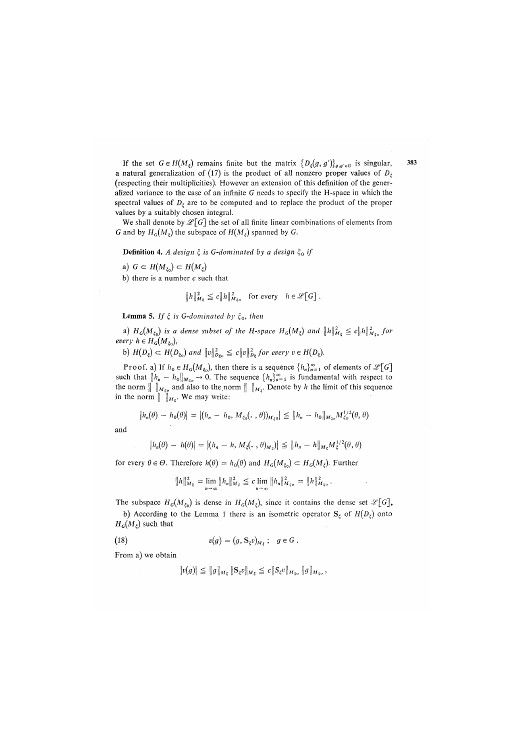If the set  $G \in H(M_\xi)$  remains finite but the matrix  $\{D_\xi(g, g')\}_{g, g'\in G}$  is singular, a natural generalization of (17) is the product of all nonzero proper values of  $D<sub>z</sub>$ *(*respecting their multiplicities). However an extension of this definition of the generalized variance to the case of an infinite *G* needs to specify the H-space in which the spectral values of  $D_{\xi}$  are to be computed and to replace the product of the proper values by a suitably chosen integral.

We shall denote by  $\mathscr{L}[G]$  the set of all finite linear combinations of elements from *G* and by  $H_G(M_\varepsilon)$  the subspace of  $H(M_\varepsilon)$  spanned by *G*.

**Definition 4.** A design  $\xi$  is G-dominated by a design  $\xi_0$  if

a) 
$$
G \subset H(M_{\xi_0}) \subset H(M_{\xi})
$$

b) there is a number  $c$  such that

$$
||h||_{M_{\xi}}^2 \le c||h||_{M_{\xi_0}}^2 \quad \text{for every} \quad h \in \mathscr{L}[G].
$$

**Lemma 5.** If  $\xi$  is G-dominated by  $\xi_0$ , then

a)  $H_G(M_{\xi_0})$  is a dense subset of the H-space  $H_G(M_{\xi})$  and  $\|h\|_{M_{\xi}}^2 \le c \|h\|_{M_{\xi_0}}^2$  for *every*  $h \in H_G(M_{\xi_0})$ ,

b)  $H(D_{\xi}) \subset H(D_{\xi_0})$  and  $\|v\|_{D_{\xi_0}}^2 \leq c\|v\|_{D_{\xi}}^2$  for every  $v \in H(D_{\xi})$ .

Proof, a) If  $h_0 \in H_G(M_{\xi_0})$ , then there is a sequence  $\{h_n\}_{n=1}^{\infty}$  of elements of  $\mathscr{L}[G]$ such that  $\| h_n - h_0 \|_{M_{\varepsilon}} \to 0$ . The sequence  $\{ h_n \}_{n=1}^{\infty}$  is fundamental with respect to the norm  $\|\cdot\|_{M_{\xi_0}}$  and also to the norm  $\|\cdot\|_{M_{\xi}}$ . Denote by *h* the limit of this sequence in the norm  $\|$   $\|_{M_{\varepsilon}}$ . We may write:

$$
|h_n(\theta) - h_0(\theta)| = |(h_n - h_0, M_{\xi_0}(\cdot, \theta))_{M_{\xi_0}}| \leq ||h_n - h_0||_{M_{\xi_0}} M_{\xi_0}^{1/2}(\theta, \theta)
$$

and

$$
|h_n(\theta) - h(\theta)| = |(h_n - h, M_\xi(\cdot, \theta)_{M_\xi})| \leq ||h_n - h||_{M_\xi} M_\xi^{1/2}(\theta, \theta)
$$

for every  $\theta \in \Theta$ . Therefore  $h(\theta) = h_0(\theta)$  and  $H_G(M_{\xi_0}) \subset H_G(M_{\xi})$ . Further

$$
||h||_{M_{\xi}}^2 = \lim_{n \to \infty} ||h_n||_{M_{\xi}}^2 \leq c \lim_{n \to \infty} ||h_n||_{M_{\xi_0}}^2 = ||h||_{M_{\xi_0}}^2.
$$

The subspace  $H_G(M_{\xi_0})$  is dense in  $H_G(M_{\xi})$ , since it contains the dense set  $\mathcal{L}[G]$ .

b) According to the Lemma 1 there is an isometric operator  $S_{\xi}$  of  $H(D_{\xi})$  onto  $H_G(M_\xi)$  such that

(18) 
$$
v(g) = (g, S_{\xi}v)_{M_{\xi}}; \quad g \in G.
$$

From a) we obtain

$$
|v(g)| \leq ||g||_{M_{\xi}} ||S_{\xi}v||_{M_{\xi}} \leq c||S_{\xi}v||_{M_{\xi}^{c}} ||g||_{M_{\xi}^{c}},
$$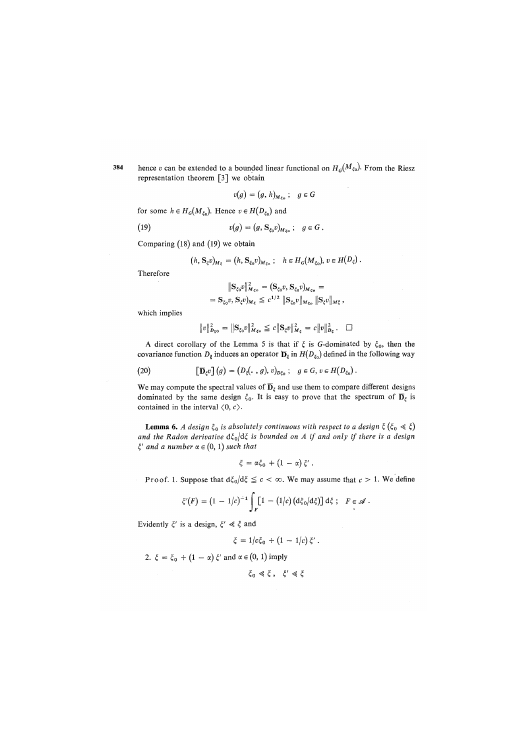hence *v* can be extended to a bounded linear functional on  $H_G^{\alpha}(M_{\xi_0})$ . From the Riesz 384 representation theorem [3] we obtain

$$
v(g) = (g, h)_{M_{\xi_0}}; \quad g \in G
$$

for some  $h \in H_G(M_{\xi_0})$ . Hence  $v \in H(D_{\xi_0})$  and

(19) 
$$
v(g) = (g, S_{\xi_0} v)_{M_{\xi_0}}; \quad g \in G.
$$

Comparing (18) and (19) we obtain

$$
(h, \mathbf{S}_{\xi}v)_{M_{\xi}} = (h, \mathbf{S}_{\xi_0}v)_{M_{\xi_0}}; \quad h \in H_G(M_{\xi_0}), v \in H(D_{\xi}).
$$

Therefore

$$
\begin{aligned} \|S_{\xi_0}v\|_{M_{\xi_0}}^2 &= (S_{\xi_0}v, S_{\xi_0}v)_{M_{\xi_0}} = \\ &= S_{\xi_0}v, S_{\xi}v)_{M_{\xi}} \le c^{1/2} \|S_{\xi_0}v\|_{M_{\xi_0}} \|S_{\xi}v\|_{M_{\xi}}, \end{aligned}
$$

which implies

$$
||v||_{D_{\xi_0}}^2 = ||S_{\xi_0}v||_{M_{\xi_0}}^2 \leq c||S_{\xi}v||_{M_{\xi}}^2 = c||v||_{D_{\xi}}^2. \quad \Box
$$

A direct corollary of the Lemma 5 is that if  $\xi$  is *G*-dominated by  $\xi_0$ , then the covariance function  $D_{\xi}$  induces an operator  $\overline{D}_{\xi}$  in  $H(D_{\xi_0})$  defined in the following way

(20) 
$$
\left[\mathbf{D}_{\xi}v\right](g) = (D_{\xi}(\cdot, g), v)_{D_{\xi_0}}; \quad g \in G, v \in H(D_{\xi_0}).
$$

We may compute the spectral values of  $\overline{D}_{\xi}$  and use them to compare different designs dominated by the same design  $\xi_0$ . It is easy to prove that the spectrum of  $\overline{D}_{\xi}$  is contained in the interval  $\langle 0, c \rangle$ .

**Lemma 6.** *A design*  $\xi_0$  *is absolutely continuous with respect to a design*  $\xi$  ( $\xi_0 \ll \xi$ ) and the Radon derivative  $d\xi_0/d\xi$  is bounded on A if and only if there is a design  $\xi'$  and a number  $\alpha \in (0, 1)$  such that

$$
\xi = \alpha \xi_0 + (1 - \alpha) \xi'.
$$

Proof. 1. Suppose that  $d\xi_0/d\xi \leq c < \infty$ . We may assume that  $c > 1$ . We define

$$
\xi'(F) = (1 - 1/c)^{-1} \int_F [1 - (1/c) (d\xi_0/d\xi)] d\xi ; \quad F \in \mathscr{A}.
$$

Evidently  $\xi'$  is a design,  $\xi' \ll \xi$  and

$$
\xi = 1/c\xi_0 + (1 - 1/c)\xi'.
$$

2.  $\xi = \xi_0 + (1 - \alpha) \xi'$  and  $\alpha \in (0, 1)$  imply

$$
\xi_0 \ll \xi \ , \quad \xi' \ll \xi
$$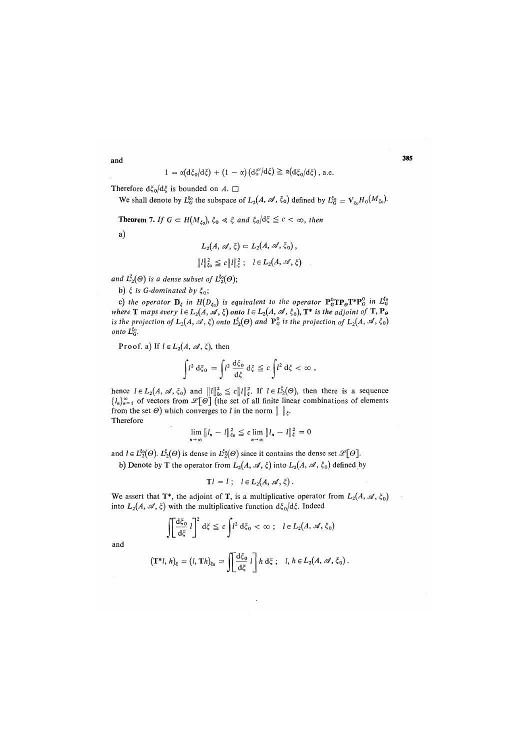385

$$
1 = \alpha (d\xi_0/d\xi) + (1 - \alpha) (d\xi'/d\xi) \geq \alpha (d\xi_0/d\xi), \text{ a.e.}
$$

Therefore  $d\xi_0/d\xi$  is bounded on A.  $\square$ 

We shall denote by  $L_6^{s_0}$  the subspace of  $L_2(A, \mathscr{A}, \xi_0)$  defined by  $L_6^{s_0} = \mathrm{V}_{\xi_0} H_G(M_{\xi_0})$ .

**Theorem 7.** If  $G \subset H(M_{\xi_0})$ ,  $\xi_0 \ll \xi$  and  $\xi_0/d\xi \leq c < \infty$ , then

a)

$$
L_2(A, \mathscr{A}, \xi) \subset L_2(A, \mathscr{A}, \xi_0),
$$
  

$$
||l||_{\xi_0}^2 \le c||l||_{\xi}^2; \quad l \in L_2(A, \mathscr{A}, \xi)
$$

and  $L_2^{\xi}(\Theta)$  is a dense subset of  $L_2^{\xi_0}(\Theta)$ ;

b)  $\xi$  is G-dominated by  $\xi_0$ ;

c) the operator  $\overline{\mathbf{D}}_{\xi}$  in  $H(D_{\xi_0})$  is equivalent to the operator  $\mathbf{P}_G^0\mathbf{TP}_{\theta}\mathbf{T}^*\mathbf{P}_G^0$  in  $L_G^{\xi_0}$ *where* **T** maps every  $l \in L_2(A, \mathcal{A}, \xi)$  onto  $l \in L_2(A, \mathcal{A}, \xi_0)$ ,  $\mathbf{T}^*$  is the adjoint of **T**,  $\mathbf{P}_{\theta}$ *is the projection of*  $L_2(A, \mathcal{A}, \xi)$  *onto*  $L_2^{\sharp}(\Theta)$  *and*  $\mathbf{P}_G^0$  *is the projection of*  $L_2(A, \mathcal{A}, \xi_0)$ *onto*  $L_G^{\xi_0}$ .

Proof. a) If  $l \in L_2(A, \mathcal{A}, \xi)$ , then

$$
\int l^2 \, d\xi_0 \, = \int l^2 \, \frac{d\xi_0}{d\xi} \, d\xi \, \leq \, c \int l^2 \, d\xi \, < \, \infty \,\, ,
$$

hence  $l \in L_2(A, \mathcal{A}, \xi_0)$  and  $||l||_{\xi_0}^2 \leq c||l||_{\xi}^2$ . If  $l \in L_2^{\xi}(\Theta)$ , then there is a sequence  ${I_n}_{n=1}^{\infty}$  of vectors from  $\mathscr{L}[\Theta]$  (the set of all finite linear combinations of elements from the set  $\Theta$ ) which converges to *l* in the norm  $\|\cdot\|_{\xi}$ . Therefore

$$
\lim_{n \to \infty} \|l_n - l\|_{\xi_0}^2 \leq c \lim_{n \to \infty} \|l_n - l\|_{\xi}^2 = 0
$$

and  $l \in L_2^{\xi_0}(\Theta)$ .  $L_2^{\xi}(\Theta)$  is dense in  $L_2^{\xi_0}(\Theta)$  since it contains the dense set  $\mathscr{L}[\Theta]$ .

b) Denote by T the operator from  $L_2(A, \mathcal{A}, \xi)$  into  $L_2(A, \mathcal{A}, \xi_0)$  defined by

$$
Tl = l \; ; \quad l \in L_2(A, \mathscr{A}, \xi) \, .
$$

We assert that T\*, the adjoint of T, is a multiplicative operator from  $L_2(A, \mathscr{A}, \xi_0)$ into  $L_2(A, \mathcal{A}, \xi)$  with the multiplicative function  $d\xi_0/d\xi$ . Indeed

$$
\iint \frac{d\xi_0}{d\xi} l \bigg]^2 d\xi \leq c \int l^2 d\xi_0 < \infty ; \quad l \in L_2(A, \mathscr{A}, \xi_0)
$$

and

$$
(\mathbf{T}^*l,\,h)_{\xi}=(l,\,\mathbf{T}h)_{\xi_0}=\iint\!\!\frac{\mathrm{d}\xi_0}{\mathrm{d}\xi}\,l\,\bigg]\,h\,\mathrm{d}\xi\,\,;\quad l,\,h\in L_2\big(A,\,\mathscr{A},\,\xi_0\big)\,.
$$

and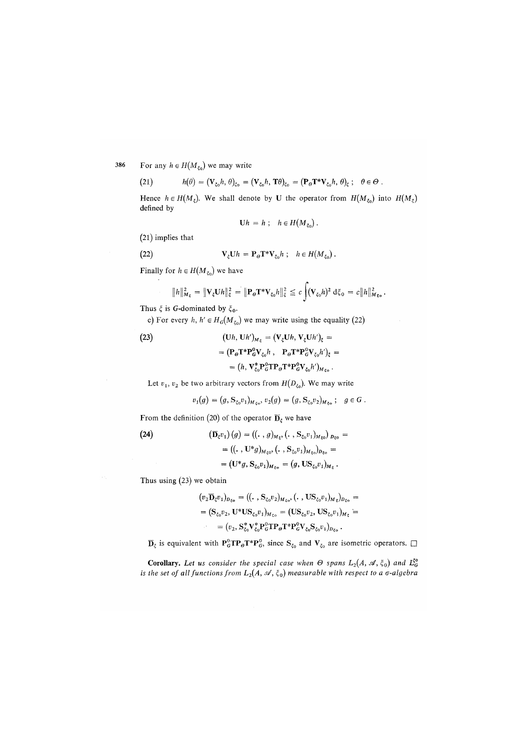For any  $h \in H(M_{\xi_0})$  we may write 386

(21) 
$$
h(\theta) = (\mathbf{V}_{\xi_0} h, \theta)_{\xi_0} = (\mathbf{V}_{\xi_0} h, \mathbf{T} \theta)_{\xi_0} = (\mathbf{P}_{\Theta} \mathbf{T}^* \mathbf{V}_{\xi_0} h, \theta)_{\xi}; \quad \theta \in \Theta.
$$

Hence  $h \in H(M_{\zeta})$ . We shall denote by U the operator from  $H(M_{\zeta_0})$  into  $H(M_{\zeta})$ defined by

$$
Uh = h \; ; \quad h \in H(M_{\xi_0}) \; .
$$

*(*21) implies that

(22) 
$$
\mathbf{V}_{\xi} \mathbf{U} h = \mathbf{P}_{\Theta} \mathbf{T}^* \mathbf{V}_{\xi_0} h \; ; \quad h \in H(M_{\xi_0}) \; .
$$

Finally for  $h \in H(M_{\xi_0})$  we have

$$
||h||_{M_{\xi}}^2 = ||\mathbf{V}_{\xi}\mathbf{U}h||_{\xi}^2 = ||\mathbf{P}_{\theta}\mathbf{T}^*\mathbf{V}_{\xi_0}h||_{\xi}^2 \leq c \int (\mathbf{V}_{\xi_0}h)^2 d\xi_0 = c||h||_{M_{\xi_0}}^2.
$$

Thus  $\xi$  is G-dominated by  $\xi_0$ *.* 

c) For every *h, h'*  $\in$   $H_G(M_{\xi_0})$  we may write using the equality (22)

(23)  
\n
$$
\begin{aligned}\n(\mathbf{U}h, \mathbf{U}h')_{M_{\xi}} &= (\mathbf{V}_{\xi}\mathbf{U}h, \mathbf{V}_{\xi}\mathbf{U}h')_{\xi} = \\
&= (\mathbf{P}_{\theta}\mathbf{T}^*\mathbf{P}_{\theta}^0\mathbf{V}_{\xi_0}h, \quad \mathbf{P}_{\theta}\mathbf{T}^*\mathbf{P}_{\theta}^0\mathbf{V}_{\xi_0}h')_{\xi} = \\
&= (h, \mathbf{V}_{\xi_0}^*\mathbf{P}_{\theta}^0\mathbf{T}^{\theta}\mathbf{P}_{\theta}\mathbf{T}^*\mathbf{P}_{\theta}^0\mathbf{V}_{\xi_0}h')_{M_{\xi_0}}.\n\end{aligned}
$$

Let  $v_1$ ,  $v_2$  be two arbitrary vectors from  $H(D_{\xi_0})$ . We may write

$$
v_1(g) = (g, \mathbf{S}_{\xi_0} v_1)_{M_{\xi_0}}, v_2(g) = (g, \mathbf{S}_{\xi_0} v_2)_{M_{\xi_0}}; \quad g \in G.
$$

From the definition (20) of the operator  $\overline{\mathbf{D}}_{\xi}$  we have

(24) 
$$
(\mathbf{D}_{\xi}v_{1})(g) = ((., g)_{M_{\xi}}, (., \mathbf{S}_{\xi_{0}}v_{1})_{M_{\xi_{0}}})_{D_{\xi_{0}}} =
$$

$$
= ((., \mathbf{U}^{*}g)_{M_{\xi_{0}}}, (., \mathbf{S}_{\xi_{0}}v_{1})_{M_{\xi_{0}}})_{D_{\xi_{0}}} =
$$

$$
= (\mathbf{U}^{*}g, \mathbf{S}_{\xi_{0}}v_{1})_{M_{\xi_{0}}} = (g, \mathbf{U}\mathbf{S}_{\xi_{0}}v_{1})_{M_{\xi}}.
$$

Thus using *(*23) we obtain

$$
\begin{aligned} (v_2 \overline{\mathbf{D}}_{\xi} v_1)_{D_{\xi_0}} &= ((\cdot \,, \mathbf{S}_{\xi_0} v_2)_{M_{\xi_0}}, (\cdot \,, \mathbf{U} \mathbf{S}_{\xi_0} v_1)_{M_{\xi}})_{D_{\xi_0}} &= \\ &= (\mathbf{S}_{\xi_0} v_2, \mathbf{U}^* \mathbf{U} \mathbf{S}_{\xi_0} v_1)_{M_{\xi_0}} &= (\mathbf{U} \mathbf{S}_{\xi_0} v_2, \mathbf{U} \mathbf{S}_{\xi_0} v_1)_{M_{\xi}} &= \\ &= (v_2, \mathbf{S}_{\xi_0}^* \mathbf{V}_{\xi_0}^* \mathbf{P}_{\mathbb{G}}^{\mathsf{T}} \mathbf{T}_{\mathsf{P}} \mathbf{T}^* \mathbf{P}_{\mathbb{G}}^{\mathsf{T}} \mathbf{V}_{\xi_0} \mathbf{S}_{\xi_0} v_1)_{D_{\xi_0}} \,. \end{aligned}
$$

 $\overline{\mathbf{D}}_{\xi}$  is equivalent with  $\mathbf{P}_{G}^{\circ}\mathbf{TP}_{\theta}\mathbf{T}^*\mathbf{P}_{G}^{\circ}$ , since  $\mathbf{S}_{\xi_0}$  and  $\mathbf{V}_{\xi_0}$  are isometric operators.  $\square$ 

**Corollary.** Let us consider the special case when  $\Theta$  spans  $L_2(A, \mathcal{A}, \xi_0)$  and  $L_0^{50}$ *is the set of all functions from*  $L_2(A, \mathcal{A}, \xi_0)$  measurable with respect to a  $\sigma$ -algebra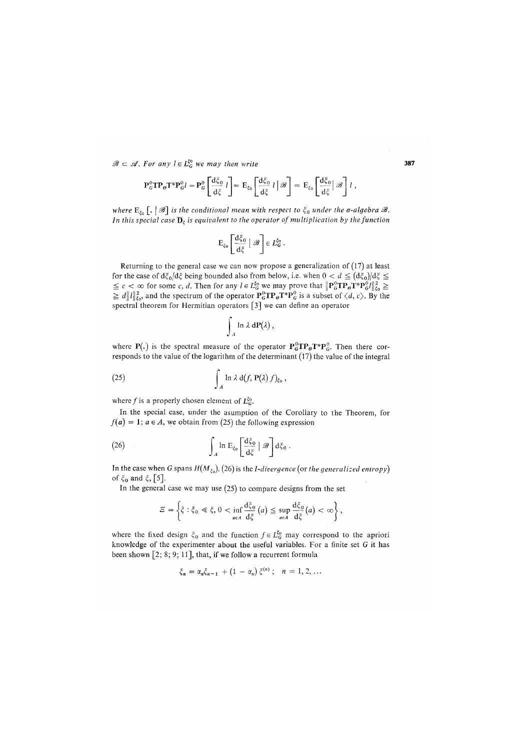$\mathscr{B} \subset \mathscr{A}$ . For any  $l \in L_G^{\xi_0}$  we may then write 387

$$
\mathbf{P}_G^0 \mathbf{T} \mathbf{P}_\theta \mathbf{T}^* \mathbf{P}_G^0 l = \mathbf{P}_G^0 \left[ \frac{d\xi_0}{d\xi} l \right] = \mathbf{E}_{\xi_0} \left[ \frac{d\xi_0}{d\xi} l \right] \mathscr{B} \right] = \mathbf{E}_{\xi_0} \left[ \frac{d\xi_0}{d\xi} \right] \mathscr{B} \right] l \,,
$$

*where*  $E_{\xi_0}$  [,  $| \mathcal{B}$ ] is the conditional mean with respect to  $\xi_0$  under the  $\sigma$ -algebra  $\mathcal{B}$ . *In this special case*  $\overline{\mathbf{D}}_z$  *is equivalent to the operator of multiplication by the function* 

$$
E_{\xi_0}\left[\frac{d\xi_0}{d\xi}\bigm| \mathcal{B}\right] \in L_G^{\xi_0}
$$

Returning to the general case we can now propose a generalization of (17) at least for the case of  $d\xi_0/d\xi$  being bounded also from below, i.e. when  $0 < d \leq (d\xi_0)/d\xi \leq$  $\leq c < \infty$  for some *c*, *d*. Then for any  $l \in L_G^{50}$  we may prove that  $\left\| \mathbf{P}_G^0 \mathbf{T} \mathbf{P}_\theta \mathbf{P}_G^* l \right\|_{\xi_0}^2 \geq$  $\ge d \|l\|_{\text{to}}^2$ , and the spectrum of the operator  $P_G^{\circ} \text{TP}_\theta \text{T}^*P_G^{\circ}$  is a subset of  $\langle d, c \rangle$ . By the spectral theorem for Hermitian operators [3] we can define an operator

$$
\int_A \ln \lambda \, dP(\lambda) \, ,
$$

where  $P(.)$  is the spectral measure of the operator  $P_G^0TP_\theta T^*P_G^0$ . Then there corresponds to the value of the logarithm of the determinant (17) the value of the integral

(25) 
$$
\int_{A} \ln \lambda \, d(f, P(\lambda) f)_{\xi_{0}},
$$

where f is a properly chosen element of  $L_G^{\xi_0}$ .

In the special case, under the asumption of the Corollary to the Theorem, for  $f(a) = 1$ ;  $a \in A$ , we obtain from (25) the following expression

(26) 
$$
\int_{A} \ln E_{\xi_{0}} \left[ \frac{d\xi_{0}}{d\xi} \mid \mathscr{B} \right] d\xi_{0}.
$$

In the case when G spans  $H(M_{\xi_0})$ , (26) is the *I-divergence* (or the generalized entropy) of  $\xi_0$  and  $\xi$ , [5].

In the general case we may use  $(25)$  to compare designs from the set

$$
\varXi = \left\{ \xi : \xi_0 \leq \xi, 0 < \inf_{a \in A} \frac{d\xi_0}{d\xi}(a) \leq \sup_{a \in A} \frac{d\xi_0}{d\xi}(a) < \infty \right\},
$$

where the fixed design  $\xi_0$  and the function  $f \in L_G^{\xi_0}$  may correspond to the apriori knowledge of the experimenter about the useful variables. For a finite set G it has been shown [2; 8; 9; 11], that, if we follow a recurrent formula

$$
\xi_n = \alpha_n \xi_{n-1} + (1 - \alpha_n) \xi^{(n)}; \quad n = 1, 2, ...
$$